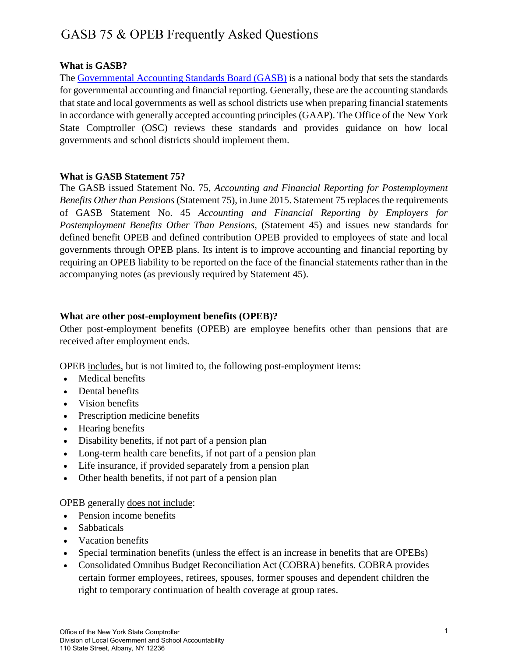# GASB 75 & OPEB Frequently Asked Questions

# **What is GASB?**

The [Governmental Accounting Standards Board \(GASB\)](https://www.gasb.org/home) is a national body that sets the standards for governmental accounting and financial reporting. Generally, these are the accounting standards that state and local governments as well as school districts use when preparing financial statements in accordance with generally accepted accounting principles (GAAP). The Office of the New York State Comptroller (OSC) reviews these standards and provides guidance on how local governments and school districts should implement them.

#### **What is GASB Statement 75?**

The GASB issued Statement No. 75, *Accounting and Financial Reporting for Postemployment Benefits Other than Pensions* (Statement 75), in June 2015. Statement 75 replaces the requirements of GASB Statement No. 45 *Accounting and Financial Reporting by Employers for Postemployment Benefits Other Than Pensions,* (Statement 45) and issues new standards for defined benefit OPEB and defined contribution OPEB provided to employees of state and local governments through OPEB plans. Its intent is to improve accounting and financial reporting by requiring an OPEB liability to be reported on the face of the financial statements rather than in the accompanying notes (as previously required by Statement 45).

## **What are other post-employment benefits (OPEB)?**

Other post-employment benefits (OPEB) are employee benefits other than pensions that are received after employment ends.

OPEB includes, but is not limited to, the following post-employment items:

- Medical benefits
- Dental benefits
- Vision benefits
- Prescription medicine benefits
- Hearing benefits
- Disability benefits, if not part of a pension plan
- Long-term health care benefits, if not part of a pension plan
- Life insurance, if provided separately from a pension plan
- Other health benefits, if not part of a pension plan

#### OPEB generally does not include:

- Pension income benefits
- Sabbaticals
- Vacation benefits
- Special termination benefits (unless the effect is an increase in benefits that are OPEBs)
- Consolidated Omnibus Budget Reconciliation Act (COBRA) benefits. COBRA provides certain former employees, retirees, spouses, former spouses and dependent children the right to temporary continuation of health coverage at group rates.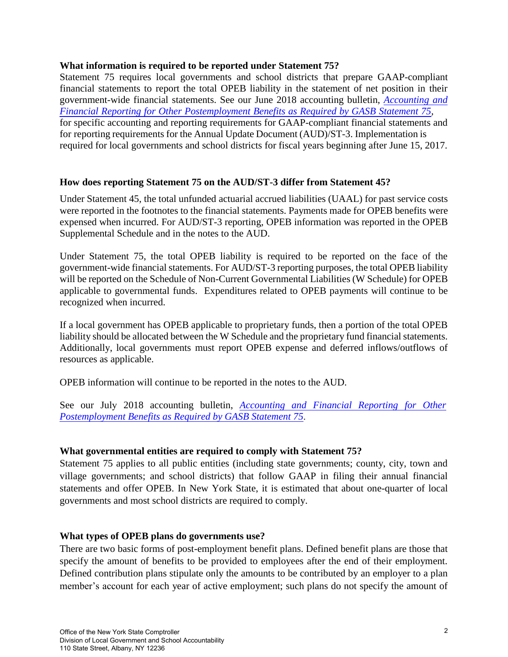### **What information is required to be reported under Statement 75?**

Statement 75 requires local governments and school districts that prepare GAAP-compliant financial statements to report the total OPEB liability in the statement of net position in their government-wide financial statements. See our June 2018 accounting bulletin, *Accounting and [Financial Reporting for Other Postemployment Benefits as Required by GASB Statement 75,](http://www.osc.state.ny.us/localgov/pubs/releases/files/GASB-75-OPEB.pdf)* for specific accounting and reporting requirements for GAAP-compliant financial statements and for reporting requirements for the Annual Update Document (AUD)/ST-3. Implementation is required for local governments and school districts for fiscal years beginning after June 15, 2017.

# **How does reporting Statement 75 on the AUD/ST-3 differ from Statement 45?**

Under Statement 45, the total unfunded actuarial accrued liabilities (UAAL) for past service costs were reported in the footnotes to the financial statements. Payments made for OPEB benefits were expensed when incurred. For AUD/ST-3 reporting, OPEB information was reported in the OPEB Supplemental Schedule and in the notes to the AUD.

Under Statement 75, the total OPEB liability is required to be reported on the face of the government-wide financial statements. For AUD/ST-3 reporting purposes, the total OPEB liability will be reported on the Schedule of Non-Current Governmental Liabilities (W Schedule) for OPEB applicable to governmental funds. Expenditures related to OPEB payments will continue to be recognized when incurred.

If a local government has OPEB applicable to proprietary funds, then a portion of the total OPEB liability should be allocated between the W Schedule and the proprietary fund financial statements. Additionally, local governments must report OPEB expense and deferred inflows/outflows of resources as applicable.

OPEB information will continue to be reported in the notes to the AUD.

See our July 2018 accounting bulletin, *Accounting and Financial Reporting for Other [Postemployment Benefits as Required by GASB Statement 75](http://www.osc.state.ny.us/localgov/pubs/releases/files/GASB-75-OPEB.pdf)*.

# **What governmental entities are required to comply with Statement 75?**

Statement 75 applies to all public entities (including state governments; county, city, town and village governments; and school districts) that follow GAAP in filing their annual financial statements and offer OPEB. In New York State, it is estimated that about one-quarter of local governments and most school districts are required to comply.

# **What types of OPEB plans do governments use?**

There are two basic forms of post-employment benefit plans. Defined benefit plans are those that specify the amount of benefits to be provided to employees after the end of their employment. Defined contribution plans stipulate only the amounts to be contributed by an employer to a plan member's account for each year of active employment; such plans do not specify the amount of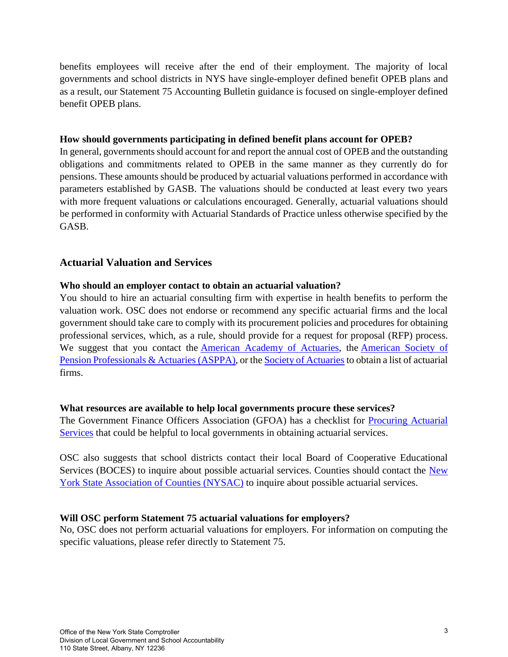benefits employees will receive after the end of their employment. The majority of local governments and school districts in NYS have single-employer defined benefit OPEB plans and as a result, our Statement 75 Accounting Bulletin guidance is focused on single-employer defined benefit OPEB plans.

## **How should governments participating in defined benefit plans account for OPEB?**

In general, governments should account for and report the annual cost of OPEB and the outstanding obligations and commitments related to OPEB in the same manner as they currently do for pensions. These amounts should be produced by actuarial valuations performed in accordance with parameters established by GASB. The valuations should be conducted at least every two years with more frequent valuations or calculations encouraged. Generally, actuarial valuations should be performed in conformity with Actuarial Standards of Practice unless otherwise specified by the GASB.

# **Actuarial Valuation and Services**

## **Who should an employer contact to obtain an actuarial valuation?**

You should to hire an actuarial consulting firm with expertise in health benefits to perform the valuation work. OSC does not endorse or recommend any specific actuarial firms and the local government should take care to comply with its procurement policies and procedures for obtaining professional services, which, as a rule, should provide for a request for proposal (RFP) process. We suggest that you contact the [American Academy of Actuaries,](http://www.actuary.org/) the [American Society of](https://www.asppa.org/) [Pension Professionals & Actuaries \(ASPPA\),](https://www.asppa.org/) or th[e Society of Actuaries t](https://www.soa.org/member/)o obtain a list of actuarial firms.

# **What resources are available to help local governments procure these services?**

The Government Finance Officers Association (GFOA) has a checklist for [Procuring Actuarial](http://www.gfoa.org/procuring-actuarial-services)  [Services](http://www.gfoa.org/procuring-actuarial-services) that could be helpful to local governments in obtaining actuarial services.

OSC also suggests that school districts contact their local Board of Cooperative Educational Services (BOCES) to inquire about possible actuarial services. Counties should contact the New [York State Association of Counties \(NYSAC\)](http://www.nysac.org/) to inquire about possible actuarial services.

# **Will OSC perform Statement 75 actuarial valuations for employers?**

No, OSC does not perform actuarial valuations for employers. For information on computing the specific valuations, please refer directly to Statement 75.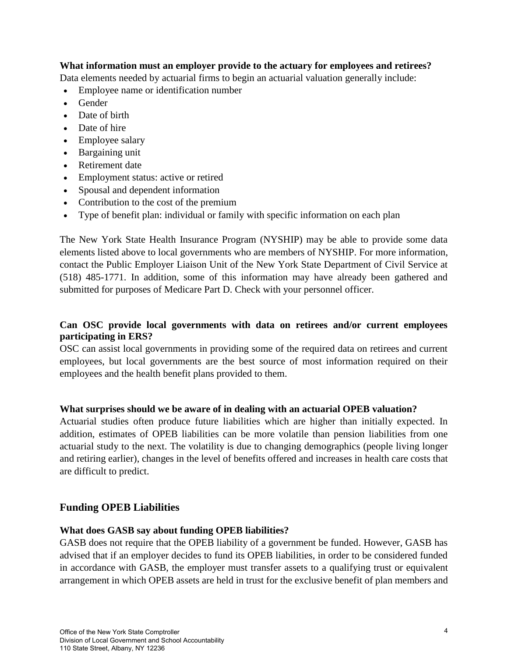# **What information must an employer provide to the actuary for employees and retirees?**

Data elements needed by actuarial firms to begin an actuarial valuation generally include:

- Employee name or identification number
- Gender
- Date of birth
- Date of hire
- Employee salary
- Bargaining unit
- Retirement date
- Employment status: active or retired
- Spousal and dependent information
- Contribution to the cost of the premium
- Type of benefit plan: individual or family with specific information on each plan

The New York State Health Insurance Program (NYSHIP) may be able to provide some data elements listed above to local governments who are members of NYSHIP. For more information, contact the Public Employer Liaison Unit of the New York State Department of Civil Service at (518) 485-1771. In addition, some of this information may have already been gathered and submitted for purposes of Medicare Part D. Check with your personnel officer.

## **Can OSC provide local governments with data on retirees and/or current employees participating in ERS?**

OSC can assist local governments in providing some of the required data on retirees and current employees, but local governments are the best source of most information required on their employees and the health benefit plans provided to them.

#### **What surprises should we be aware of in dealing with an actuarial OPEB valuation?**

Actuarial studies often produce future liabilities which are higher than initially expected. In addition, estimates of OPEB liabilities can be more volatile than pension liabilities from one actuarial study to the next. The volatility is due to changing demographics (people living longer and retiring earlier), changes in the level of benefits offered and increases in health care costs that are difficult to predict.

# **Funding OPEB Liabilities**

#### **What does GASB say about funding OPEB liabilities?**

GASB does not require that the OPEB liability of a government be funded. However, GASB has advised that if an employer decides to fund its OPEB liabilities, in order to be considered funded in accordance with GASB, the employer must transfer assets to a qualifying trust or equivalent arrangement in which OPEB assets are held in trust for the exclusive benefit of plan members and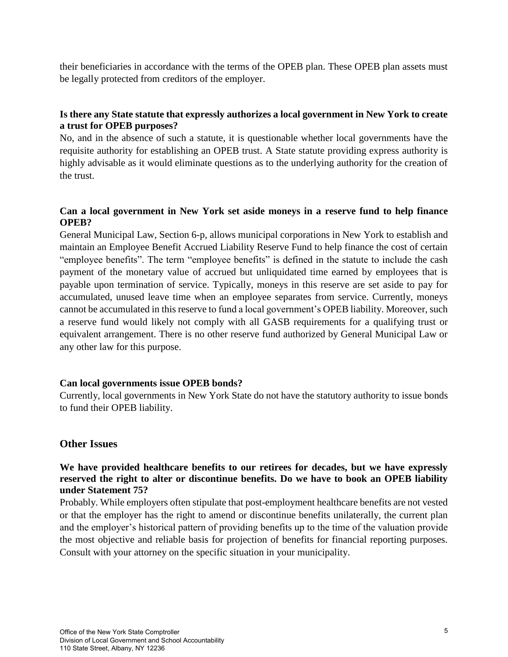their beneficiaries in accordance with the terms of the OPEB plan. These OPEB plan assets must be legally protected from creditors of the employer.

# **Is there any State statute that expressly authorizes a local government in New York to create a trust for OPEB purposes?**

No, and in the absence of such a statute, it is questionable whether local governments have the requisite authority for establishing an OPEB trust. A State statute providing express authority is highly advisable as it would eliminate questions as to the underlying authority for the creation of the trust.

# **Can a local government in New York set aside moneys in a reserve fund to help finance OPEB?**

General Municipal Law, Section 6-p, allows municipal corporations in New York to establish and maintain an Employee Benefit Accrued Liability Reserve Fund to help finance the cost of certain "employee benefits". The term "employee benefits" is defined in the statute to include the cash payment of the monetary value of accrued but unliquidated time earned by employees that is payable upon termination of service. Typically, moneys in this reserve are set aside to pay for accumulated, unused leave time when an employee separates from service. Currently, moneys cannot be accumulated in this reserve to fund a local government's OPEB liability. Moreover, such a reserve fund would likely not comply with all GASB requirements for a qualifying trust or equivalent arrangement. There is no other reserve fund authorized by General Municipal Law or any other law for this purpose.

# **Can local governments issue OPEB bonds?**

Currently, local governments in New York State do not have the statutory authority to issue bonds to fund their OPEB liability.

# **Other Issues**

## **We have provided healthcare benefits to our retirees for decades, but we have expressly reserved the right to alter or discontinue benefits. Do we have to book an OPEB liability under Statement 75?**

Probably. While employers often stipulate that post-employment healthcare benefits are not vested or that the employer has the right to amend or discontinue benefits unilaterally, the current plan and the employer's historical pattern of providing benefits up to the time of the valuation provide the most objective and reliable basis for projection of benefits for financial reporting purposes. Consult with your attorney on the specific situation in your municipality.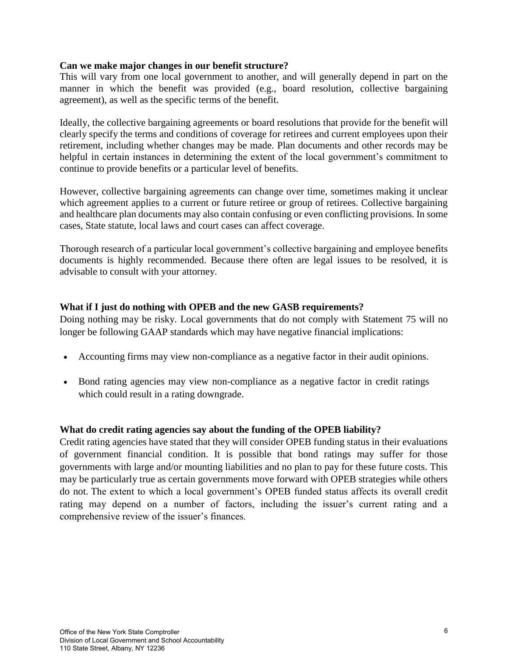### **Can we make major changes in our benefit structure?**

This will vary from one local government to another, and will generally depend in part on the manner in which the benefit was provided (e.g., board resolution, collective bargaining agreement), as well as the specific terms of the benefit.

Ideally, the collective bargaining agreements or board resolutions that provide for the benefit will clearly specify the terms and conditions of coverage for retirees and current employees upon their retirement, including whether changes may be made. Plan documents and other records may be helpful in certain instances in determining the extent of the local government's commitment to continue to provide benefits or a particular level of benefits.

However, collective bargaining agreements can change over time, sometimes making it unclear which agreement applies to a current or future retiree or group of retirees. Collective bargaining and healthcare plan documents may also contain confusing or even conflicting provisions. In some cases, State statute, local laws and court cases can affect coverage.

Thorough research of a particular local government's collective bargaining and employee benefits documents is highly recommended. Because there often are legal issues to be resolved, it is advisable to consult with your attorney.

## **What if I just do nothing with OPEB and the new GASB requirements?**

Doing nothing may be risky. Local governments that do not comply with Statement 75 will no longer be following GAAP standards which may have negative financial implications:

- Accounting firms may view non-compliance as a negative factor in their audit opinions.
- Bond rating agencies may view non-compliance as a negative factor in credit ratings which could result in a rating downgrade.

# **What do credit rating agencies say about the funding of the OPEB liability?**

Credit rating agencies have stated that they will consider OPEB funding status in their evaluations of government financial condition. It is possible that bond ratings may suffer for those governments with large and/or mounting liabilities and no plan to pay for these future costs. This may be particularly true as certain governments move forward with OPEB strategies while others do not. The extent to which a local government's OPEB funded status affects its overall credit rating may depend on a number of factors, including the issuer's current rating and a comprehensive review of the issuer's finances.